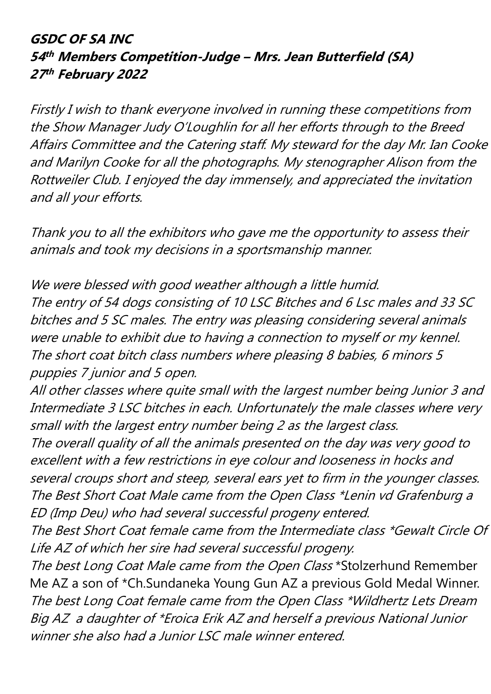### **GSDC OF SA INC 54 th Members Competition-Judge – Mrs. Jean Butterfield (SA) 27 th February 2022**

Firstly I wish to thank everyone involved in running these competitions from the Show Manager Judy O'Loughlin for all her efforts through to the Breed Affairs Committee and the Catering staff. My steward for the day Mr. Ian Cooke and Marilyn Cooke for all the photographs. My stenographer Alison from the Rottweiler Club. I enjoyed the day immensely, and appreciated the invitation and all your efforts.

Thank you to all the exhibitors who gave me the opportunity to assess their animals and took my decisions in a sportsmanship manner.

We were blessed with good weather although a little humid. The entry of 54 dogs consisting of 10 LSC Bitches and 6 Lsc males and 33 SC bitches and 5 SC males. The entry was pleasing considering several animals were unable to exhibit due to having a connection to myself or my kennel. The short coat bitch class numbers where pleasing 8 babies, 6 minors 5 puppies 7 junior and 5 open.

All other classes where quite small with the largest number being Junior 3 and Intermediate 3 LSC bitches in each. Unfortunately the male classes where very small with the largest entry number being 2 as the largest class.

The overall quality of all the animals presented on the day was very good to excellent with a few restrictions in eye colour and looseness in hocks and several croups short and steep, several ears yet to firm in the younger classes. The Best Short Coat Male came from the Open Class \*Lenin vd Grafenburg a ED (Imp Deu) who had several successful progeny entered.

The Best Short Coat female came from the Intermediate class \*Gewalt Circle Of Life AZ of which her sire had several successful progeny.

The best Long Coat Male came from the Open Class \*Stolzerhund Remember Me AZ a son of \*Ch.Sundaneka Young Gun AZ a previous Gold Medal Winner. The best Long Coat female came from the Open Class \*Wildhertz Lets Dream Big AZ a daughter of \*Eroica Erik AZ and herself a previous National Junior winner she also had a Junior LSC male winner entered.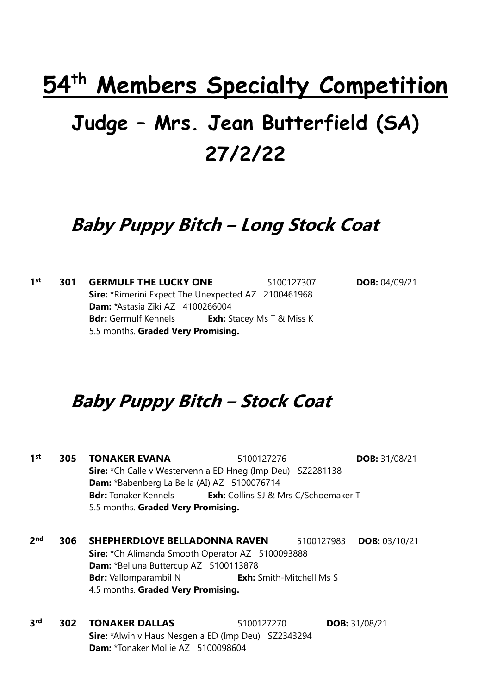# **54th Members Specialty Competition**

# **Judge – Mrs. Jean Butterfield (SA) 27/2/22**

## **Baby Puppy Bitch – Long Stock Coat**

**1 st 301 GERMULF THE LUCKY ONE** 5100127307 **DOB:** 04/09/21 **Sire:** \*Rimerini Expect The Unexpected AZ 2100461968 **Dam:** \*Astasia Ziki AZ 4100266004 **Bdr:** Germulf Kennels **Exh:** Stacey Ms T & Miss K 5.5 months. **Graded Very Promising.**

## **Baby Puppy Bitch – Stock Coat**

**1 st 305 TONAKER EVANA** 5100127276 **DOB:** 31/08/21 **Sire:** \*Ch Calle v Westervenn a ED Hneg (Imp Deu) SZ2281138 **Dam:** \*Babenberg La Bella (AI) AZ 5100076714 **Bdr:** Tonaker Kennels **Exh:** Collins SJ & Mrs C/Schoemaker T 5.5 months. **Graded Very Promising. 2 nd 306 SHEPHERDLOVE BELLADONNA RAVEN** 5100127983 **DOB:** 03/10/21 **Sire:** \*Ch Alimanda Smooth Operator AZ 5100093888 **Dam:** \*Belluna Buttercup AZ 5100113878 **Bdr:** Vallomparambil N **Exh:** Smith-Mitchell Ms S 4.5 months. **Graded Very Promising.**

**3 rd 302 TONAKER DALLAS** 5100127270 **DOB:** 31/08/21 **Sire:** \*Alwin v Haus Nesgen a ED (Imp Deu) SZ2343294 **Dam:** \*Tonaker Mollie AZ 5100098604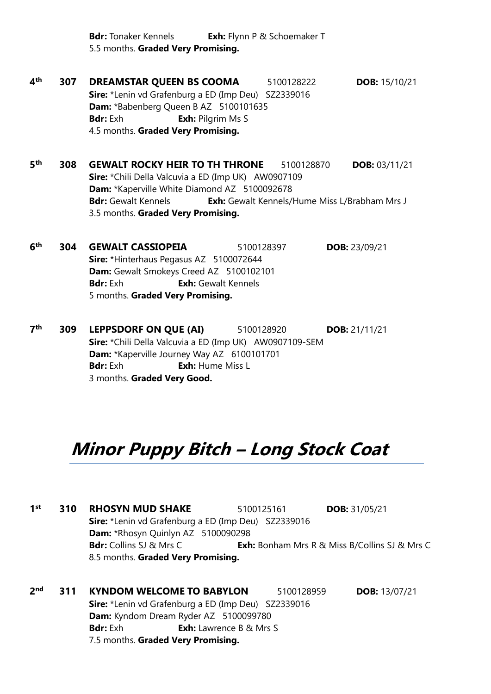**Bdr:** Tonaker Kennels **Exh:** Flynn P & Schoemaker T 5.5 months. **Graded Very Promising.**

 $\mathbf{A}^{\text{th}}$ **th 307 DREAMSTAR QUEEN BS COOMA** 5100128222 **DOB:** 15/10/21 **Sire:** \*Lenin vd Grafenburg a ED (Imp Deu) SZ2339016 **Dam:** \*Babenberg Queen B AZ 5100101635 **Bdr:** Exh **Exh:** Pilgrim Ms S 4.5 months. **Graded Very Promising.**

**5 th 308 GEWALT ROCKY HEIR TO TH THRONE** 5100128870 **DOB:** 03/11/21 **Sire:** \*Chili Della Valcuvia a ED (Imp UK) AW0907109 **Dam:** \*Kaperville White Diamond AZ 5100092678 **Bdr:** Gewalt Kennels **Exh:** Gewalt Kennels/Hume Miss L/Brabham Mrs J 3.5 months. **Graded Very Promising.**

**6 th 304 GEWALT CASSIOPEIA** 5100128397 **DOB:** 23/09/21 **Sire:** \*Hinterhaus Pegasus AZ 5100072644 **Dam:** Gewalt Smokeys Creed AZ 5100102101 **Bdr:** Exh **Exh:** Gewalt Kennels 5 months. **Graded Very Promising.**

**7 th 309 LEPPSDORF ON QUE (AI)** 5100128920 **DOB:** 21/11/21 **Sire:** \*Chili Della Valcuvia a ED (Imp UK) AW0907109-SEM **Dam:** \*Kaperville Journey Way AZ 6100101701 **Bdr:** Exh: Hume Miss L 3 months. **Graded Very Good.**

## **Minor Puppy Bitch – Long Stock Coat**

**1 st 310 RHOSYN MUD SHAKE** 5100125161 **DOB:** 31/05/21 **Sire:** \*Lenin vd Grafenburg a ED (Imp Deu) SZ2339016 **Dam:** \*Rhosyn Quinlyn AZ 5100090298 **Bdr:** Collins SJ & Mrs C **Exh:** Bonham Mrs R & Miss B/Collins SJ & Mrs C 8.5 months. **Graded Very Promising.**

**2 nd 311 KYNDOM WELCOME TO BABYLON** 5100128959 **DOB:** 13/07/21 **Sire:** \*Lenin vd Grafenburg a ED (Imp Deu) SZ2339016 **Dam:** Kyndom Dream Ryder AZ 5100099780 **Bdr:** Exh: Lawrence B & Mrs S 7.5 months. **Graded Very Promising.**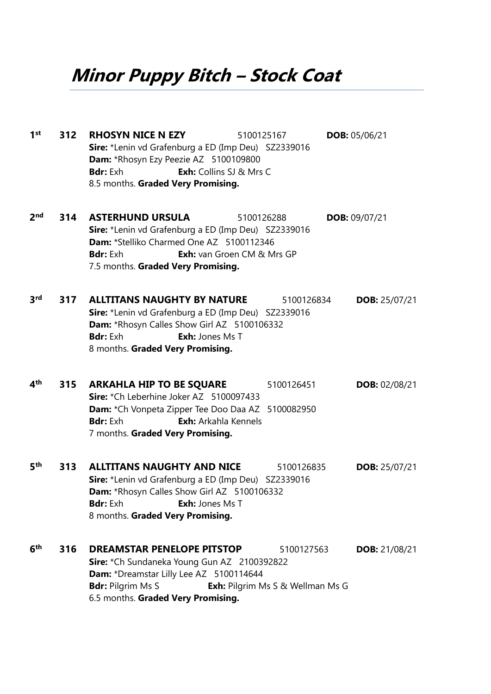**Minor Puppy Bitch – Stock Coat**

**1 st 312 RHOSYN NICE N EZY** 5100125167 **DOB:** 05/06/21 **Sire:** \*Lenin vd Grafenburg a ED (Imp Deu) SZ2339016 **Dam:** \*Rhosyn Ezy Peezie AZ 5100109800 **Bdr:** Exh: Collins SJ & Mrs C 8.5 months. **Graded Very Promising. 2 nd 314 ASTERHUND URSULA** 5100126288 **DOB:** 09/07/21 **Sire:** \*Lenin vd Grafenburg a ED (Imp Deu) SZ2339016 **Dam:** \*Stelliko Charmed One AZ 5100112346 **Bdr:** Exh: van Groen CM & Mrs GP 7.5 months. **Graded Very Promising. 3 rd 317 ALLTITANS NAUGHTY BY NATURE** 5100126834 **DOB:** 25/07/21 **Sire:** \*Lenin vd Grafenburg a ED (Imp Deu) SZ2339016 **Dam:** \*Rhosyn Calles Show Girl AZ 5100106332 **Bdr:** Exh: Jones Ms T 8 months. **Graded Very Promising. 4 th 315 ARKAHLA HIP TO BE SQUARE** 5100126451 **DOB:** 02/08/21 **Sire:** \*Ch Leberhine Joker AZ 5100097433 **Dam:** \*Ch Vonpeta Zipper Tee Doo Daa AZ 5100082950 **Bdr:** Exh: Arkahla Kennels 7 months. **Graded Very Promising. 5 th 313 ALLTITANS NAUGHTY AND NICE** 5100126835 **DOB:** 25/07/21 **Sire:** \*Lenin vd Grafenburg a ED (Imp Deu) SZ2339016 **Dam:** \*Rhosyn Calles Show Girl AZ 5100106332 **Bdr:** Exh: Jones Ms T 8 months. **Graded Very Promising. 6 th 316 DREAMSTAR PENELOPE PITSTOP** 5100127563 **DOB:** 21/08/21 **Sire:** \*Ch Sundaneka Young Gun AZ 2100392822 **Dam:** \*Dreamstar Lilly Lee AZ 5100114644 **Bdr:** Pilgrim Ms S **Exh:** Pilgrim Ms S & Wellman Ms G 6.5 months. **Graded Very Promising.**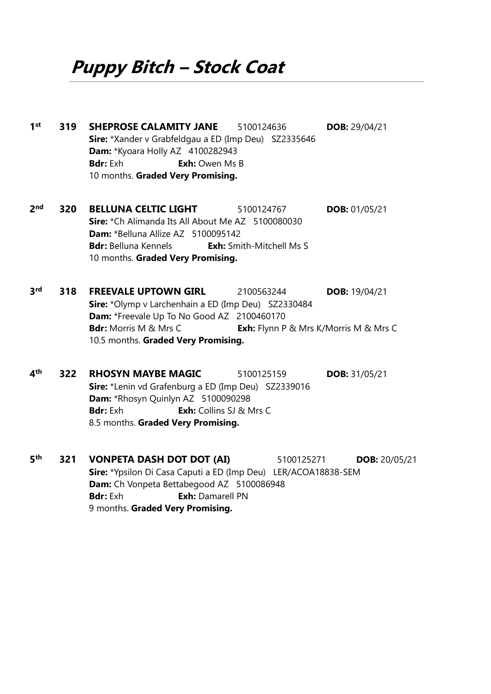**Puppy Bitch – Stock Coat**

**1 st 319 SHEPROSE CALAMITY JANE** 5100124636 **DOB:** 29/04/21 **Sire:** \*Xander v Grabfeldgau a ED (Imp Deu) SZ2335646 **Dam:** \*Kyoara Holly AZ 4100282943 **Bdr:** Exh **Exh:** Owen Ms B 10 months. **Graded Very Promising. 2 nd 320 BELLUNA CELTIC LIGHT** 5100124767 **DOB:** 01/05/21 **Sire:** \*Ch Alimanda Its All About Me AZ 5100080030 **Dam:** \*Belluna Allize AZ 5100095142 **Bdr:** Belluna Kennels **Exh:** Smith-Mitchell Ms S 10 months. **Graded Very Promising. 3 rd 318 FREEVALE UPTOWN GIRL** 2100563244 **DOB:** 19/04/21 **Sire:** \*Olymp v Larchenhain a ED (Imp Deu) SZ2330484 **Dam:** \*Freevale Up To No Good AZ 2100460170 **Bdr:** Morris M & Mrs C **Exh:** Flynn P & Mrs K/Morris M & Mrs C 10.5 months. **Graded Very Promising. 4 th 322 RHOSYN MAYBE MAGIC** 5100125159 **DOB:** 31/05/21 **Sire:** \*Lenin vd Grafenburg a ED (Imp Deu) SZ2339016 **Dam:** \*Rhosyn Quinlyn AZ 5100090298 **Bdr:** Exh **Exh:** Collins SJ & Mrs C 8.5 months. **Graded Very Promising. 5 th 321 VONPETA DASH DOT DOT (AI)** 5100125271 **DOB:** 20/05/21 **Sire:** \*Ypsilon Di Casa Caputi a ED (Imp Deu) LER/ACOA18838-SEM **Dam:** Ch Vonpeta Bettabegood AZ 5100086948 **Bdr:** Exh **Exh:** Damarell PN 9 months. **Graded Very Promising.**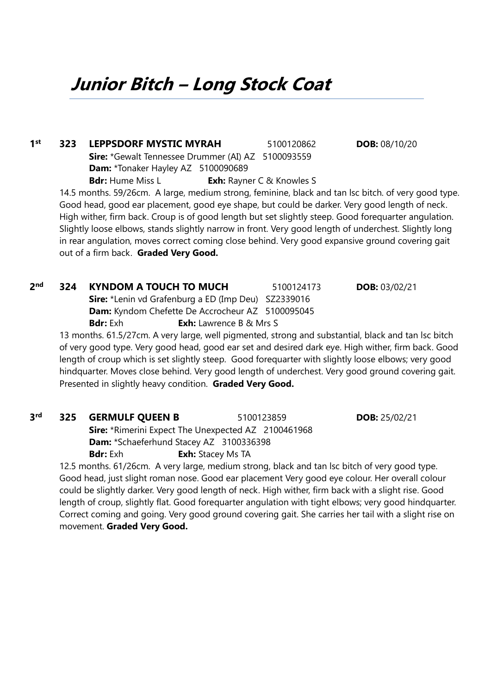**Junior Bitch – Long Stock Coat**

**1 st 323 LEPPSDORF MYSTIC MYRAH** 5100120862 **DOB:** 08/10/20 **Sire:** \*Gewalt Tennessee Drummer (AI) AZ 5100093559 **Dam:** \*Tonaker Hayley AZ 5100090689 **Bdr:** Hume Miss L **Exh:** Rayner C & Knowles S 14.5 months. 59/26cm. A large, medium strong, feminine, black and tan lsc bitch. of very good type. Good head, good ear placement, good eye shape, but could be darker. Very good length of neck. High wither, firm back. Croup is of good length but set slightly steep. Good forequarter angulation. Slightly loose elbows, stands slightly narrow in front. Very good length of underchest. Slightly long

in rear angulation, moves correct coming close behind. Very good expansive ground covering gait out of a firm back. **Graded Very Good.**

### **2 nd 324 KYNDOM A TOUCH TO MUCH** 5100124173 **DOB:** 03/02/21

**Sire:** \*Lenin vd Grafenburg a ED (Imp Deu) SZ2339016 **Dam:** Kyndom Chefette De Accrocheur AZ 5100095045 **Bdr:** Exh **Exh:** Lawrence B & Mrs S

13 months. 61.5/27cm. A very large, well pigmented, strong and substantial, black and tan lsc bitch of very good type. Very good head, good ear set and desired dark eye. High wither, firm back. Good length of croup which is set slightly steep. Good forequarter with slightly loose elbows; very good hindquarter. Moves close behind. Very good length of underchest. Very good ground covering gait. Presented in slightly heavy condition. **Graded Very Good.**

#### **3 rd 325 GERMULF QUEEN B** 5100123859 **DOB:** 25/02/21

**Sire:** \*Rimerini Expect The Unexpected AZ 2100461968 **Dam:** \*Schaeferhund Stacey AZ 3100336398 **Bdr:** Exh: Stacey Ms TA

12.5 months. 61/26cm. A very large, medium strong, black and tan lsc bitch of very good type. Good head, just slight roman nose. Good ear placement Very good eye colour. Her overall colour could be slightly darker. Very good length of neck. High wither, firm back with a slight rise. Good length of croup, slightly flat. Good forequarter angulation with tight elbows; very good hindquarter. Correct coming and going. Very good ground covering gait. She carries her tail with a slight rise on movement. **Graded Very Good.**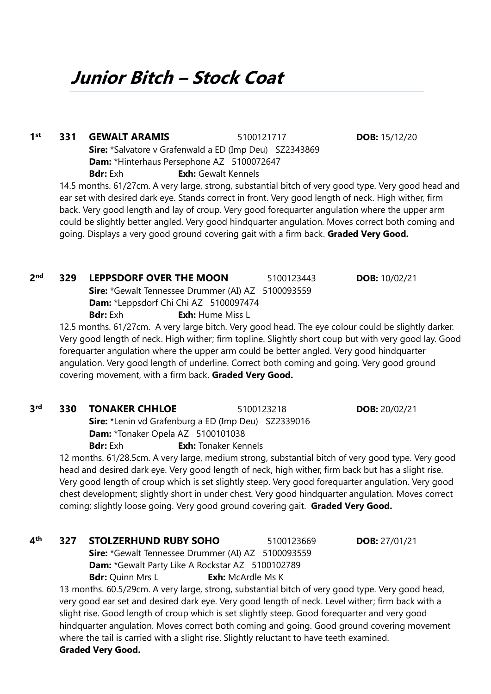**Junior Bitch – Stock Coat**

**1 st 331 GEWALT ARAMIS** 5100121717 **DOB:** 15/12/20 **Sire:** \*Salvatore v Grafenwald a ED (Imp Deu) SZ2343869 **Dam:** \*Hinterhaus Persephone AZ 5100072647 **Bdr:** Exh **Exh:** Gewalt Kennels 14.5 months. 61/27cm. A very large, strong, substantial bitch of very good type. Very good head and

ear set with desired dark eye. Stands correct in front. Very good length of neck. High wither, firm back. Very good length and lay of croup. Very good forequarter angulation where the upper arm could be slightly better angled. Very good hindquarter angulation. Moves correct both coming and going. Displays a very good ground covering gait with a firm back. **Graded Very Good.**

**Bdr:** Exh: Hume Miss L 12.5 months. 61/27cm. A very large bitch. Very good head. The eye colour could be slightly darker. Very good length of neck. High wither; firm topline. Slightly short coup but with very good lay. Good forequarter angulation where the upper arm could be better angled. Very good hindquarter angulation. Very good length of underline. Correct both coming and going. Very good ground covering movement, with a firm back. **Graded Very Good.**

**rd 330 TONAKER CHHLOE** 5100123218 **DOB:** 20/02/21 **Sire:** \*Lenin vd Grafenburg a ED (Imp Deu) SZ2339016 **Dam:** \*Tonaker Opela AZ 5100101038

**Dam:** \*Leppsdorf Chi Chi AZ 5100097474

**Bdr:** Exh: Tonaker Kennels 12 months. 61/28.5cm. A very large, medium strong, substantial bitch of very good type. Very good head and desired dark eye. Very good length of neck, high wither, firm back but has a slight rise. Very good length of croup which is set slightly steep. Very good forequarter angulation. Very good chest development; slightly short in under chest. Very good hindquarter angulation. Moves correct coming; slightly loose going. Very good ground covering gait. **Graded Very Good.**

**4 th 327 STOLZERHUND RUBY SOHO** 5100123669 **DOB:** 27/01/21

**Sire:** \*Gewalt Tennessee Drummer (AI) AZ 5100093559 **Dam:** \*Gewalt Party Like A Rockstar AZ 5100102789 **Bdr:** Quinn Mrs L **Exh:** McArdle Ms K

13 months. 60.5/29cm. A very large, strong, substantial bitch of very good type. Very good head, very good ear set and desired dark eye. Very good length of neck. Level wither; firm back with a slight rise. Good length of croup which is set slightly steep. Good forequarter and very good hindquarter angulation. Moves correct both coming and going. Good ground covering movement where the tail is carried with a slight rise. Slightly reluctant to have teeth examined. **Graded Very Good.**

**nd 329 LEPPSDORF OVER THE MOON** 5100123443 **DOB:** 10/02/21 **Sire:** \*Gewalt Tennessee Drummer (AI) AZ 5100093559

2<sup>nd</sup>

**3**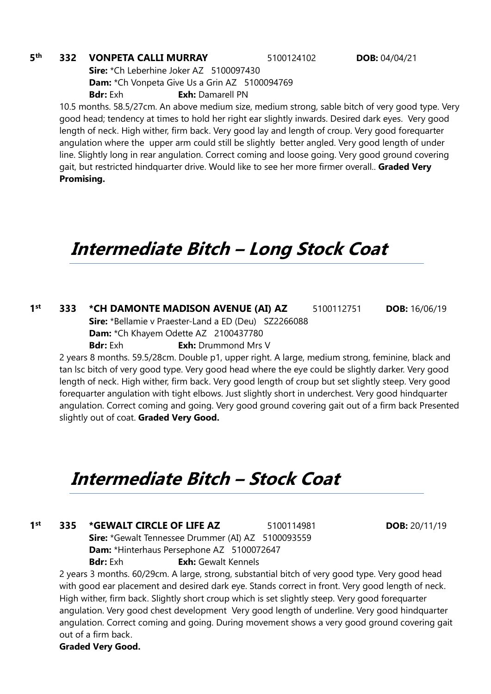#### **5 th 332 VONPETA CALLI MURRAY** 5100124102 **DOB:** 04/04/21

**Sire:** \*Ch Leberhine Joker AZ 5100097430 **Dam:** \*Ch Vonpeta Give Us a Grin AZ 5100094769 **Bdr:** Exh: Damarell PN

10.5 months. 58.5/27cm. An above medium size, medium strong, sable bitch of very good type. Very good head; tendency at times to hold her right ear slightly inwards. Desired dark eyes. Very good length of neck. High wither, firm back. Very good lay and length of croup. Very good forequarter angulation where the upper arm could still be slightly better angled. Very good length of under line. Slightly long in rear angulation. Correct coming and loose going. Very good ground covering gait, but restricted hindquarter drive. Would like to see her more firmer overall.. **Graded Very Promising.**

## **Intermediate Bitch – Long Stock Coat**

**1 st 333 \*CH DAMONTE MADISON AVENUE (AI) AZ** 5100112751 **DOB:** 16/06/19 **Sire:** \*Bellamie v Praester-Land a ED (Deu) SZ2266088 **Dam:** \*Ch Khayem Odette AZ 2100437780 **Bdr:** Exh **Exh:** Drummond Mrs V

2 years 8 months. 59.5/28cm. Double p1, upper right. A large, medium strong, feminine, black and tan lsc bitch of very good type. Very good head where the eye could be slightly darker. Very good length of neck. High wither, firm back. Very good length of croup but set slightly steep. Very good forequarter angulation with tight elbows. Just slightly short in underchest. Very good hindquarter angulation. Correct coming and going. Very good ground covering gait out of a firm back Presented slightly out of coat. **Graded Very Good.**

### **Intermediate Bitch – Stock Coat**

#### **1 st 335 \*GEWALT CIRCLE OF LIFE AZ** 5100114981 **DOB:** 20/11/19

**Sire:** \*Gewalt Tennessee Drummer (AI) AZ 5100093559 **Dam:** \*Hinterhaus Persephone AZ 5100072647 **Bdr:** Exh **Exh:** Gewalt Kennels

2 years 3 months. 60/29cm. A large, strong, substantial bitch of very good type. Very good head with good ear placement and desired dark eye. Stands correct in front. Very good length of neck. High wither, firm back. Slightly short croup which is set slightly steep. Very good forequarter angulation. Very good chest development Very good length of underline. Very good hindquarter angulation. Correct coming and going. During movement shows a very good ground covering gait out of a firm back.

**Graded Very Good.**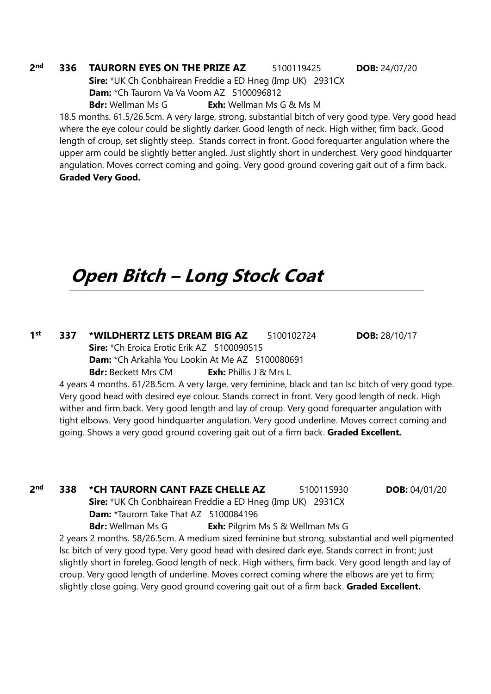#### **2 nd 336 TAURORN EYES ON THE PRIZE AZ** 5100119425 **DOB:** 24/07/20

**Sire:** \*UK Ch Conbhairean Freddie a ED Hneg (Imp UK) 2931CX **Dam:** \*Ch Taurorn Va Va Voom AZ 5100096812 **Bdr:** Wellman Ms G **Exh:** Wellman Ms G & Ms M

18.5 months. 61.5/26.5cm. A very large, strong, substantial bitch of very good type. Very good head where the eye colour could be slightly darker. Good length of neck. High wither, firm back. Good length of croup, set slightly steep. Stands correct in front. Good forequarter angulation where the upper arm could be slightly better angled. Just slightly short in underchest. Very good hindquarter angulation. Moves correct coming and going. Very good ground covering gait out of a firm back. **Graded Very Good.**

## **Open Bitch – Long Stock Coat**

**1 st 337 \*WILDHERTZ LETS DREAM BIG AZ** 5100102724 **DOB:** 28/10/17 **Sire:** \*Ch Eroica Erotic Erik AZ 5100090515 **Dam:** \*Ch Arkahla You Lookin At Me AZ 5100080691 **Bdr:** Beckett Mrs CM **Exh:** Phillis J & Mrs L

4 years 4 months. 61/28.5cm. A very large, very feminine, black and tan lsc bitch of very good type. Very good head with desired eye colour. Stands correct in front. Very good length of neck. High wither and firm back. Very good length and lay of croup. Very good forequarter angulation with tight elbows. Very good hindquarter angulation. Very good underline. Moves correct coming and going. Shows a very good ground covering gait out of a firm back. **Graded Excellent.** 

**2 nd 338 \*CH TAURORN CANT FAZE CHELLE AZ** 5100115930 **DOB:** 04/01/20 **Sire:** \*UK Ch Conbhairean Freddie a ED Hneg (Imp UK) 2931CX **Dam:** *\**Taurorn Take That AZ 5100084196 **Bdr:** Wellman Ms G **Exh:** Pilgrim Ms S & Wellman Ms G 2 years 2 months. 58/26.5cm. A medium sized feminine but strong, substantial and well pigmented lsc bitch of very good type. Very good head with desired dark eye. Stands correct in front; just slightly short in foreleg. Good length of neck. High withers, firm back. Very good length and lay of croup. Very good length of underline. Moves correct coming where the elbows are yet to firm; slightly close going. Very good ground covering gait out of a firm back. **Graded Excellent.**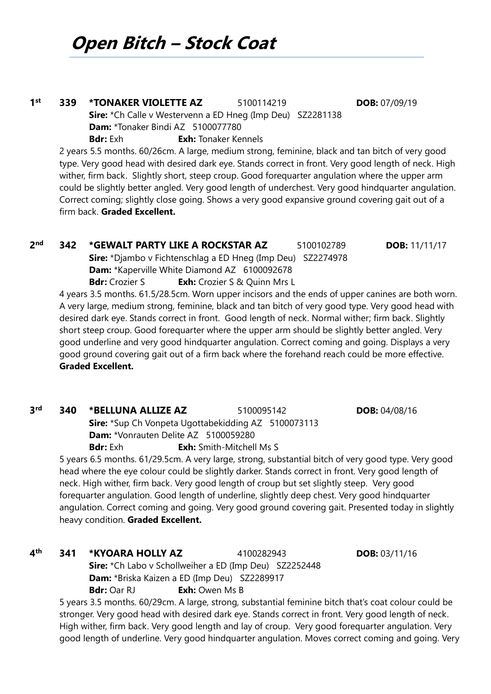### **1 st 339 \*TONAKER VIOLETTE AZ** 5100114219 **DOB:** 07/09/19 **Sire:** \*Ch Calle v Westervenn a ED Hneg (Imp Deu) SZ2281138 **Dam:** \*Tonaker Bindi AZ 5100077780 **Bdr:** Exh **Exh:** Tonaker Kennels

2 years 5.5 months. 60/26cm. A large, medium strong, feminine, black and tan bitch of very good type. Very good head with desired dark eye. Stands correct in front. Very good length of neck. High wither, firm back. Slightly short, steep croup. Good forequarter angulation where the upper arm could be slightly better angled. Very good length of underchest. Very good hindquarter angulation. Correct coming; slightly close going. Shows a very good expansive ground covering gait out of a firm back. **Graded Excellent.**

### **2 nd 342 \*GEWALT PARTY LIKE A ROCKSTAR AZ** 5100102789 **DOB:** 11/11/17 **Sire:** \*Djambo v Fichtenschlag a ED Hneg (Imp Deu) SZ2274978 **Dam:** \*Kaperville White Diamond AZ 6100092678

**Bdr:** Crozier S **Exh:** Crozier S & Quinn Mrs L

4 years 3.5 months. 61.5/28.5cm. Worn upper incisors and the ends of upper canines are both worn. A very large, medium strong, feminine, black and tan bitch of very good type. Very good head with desired dark eye. Stands correct in front. Good length of neck. Normal wither; firm back. Slightly short steep croup. Good forequarter where the upper arm should be slightly better angled. Very good underline and very good hindquarter angulation. Correct coming and going. Displays a very good ground covering gait out of a firm back where the forehand reach could be more effective. **Graded Excellent.**

### **3**

**Sire:** \*Sup Ch Vonpeta Ugottabekidding AZ 5100073113 **Dam:** \*Vonrauten Delite AZ 5100059280

**rd 340 \*BELLUNA ALLIZE AZ** 5100095142 **DOB:** 04/08/16

**Bdr:** Exh **Exh:** Smith-Mitchell Ms S

5 years 6.5 months. 61/29.5cm. A very large, strong, substantial bitch of very good type. Very good head where the eye colour could be slightly darker. Stands correct in front. Very good length of neck. High wither, firm back. Very good length of croup but set slightly steep. Very good forequarter angulation. Good length of underline, slightly deep chest. Very good hindquarter angulation. Correct coming and going. Very good ground covering gait. Presented today in slightly heavy condition. **Graded Excellent.**

#### **4 th 341 \*KYOARA HOLLY AZ** 4100282943 **DOB:** 03/11/16

**Sire:** \*Ch Labo v Schollweiher a ED (Imp Deu) SZ2252448 **Dam:** \*Briska Kaizen a ED (Imp Deu) SZ2289917 **Bdr:** Oar RJ **Exh:** Owen Ms B

5 years 3.5 months. 60/29cm. A large, strong, substantial feminine bitch that's coat colour could be stronger. Very good head with desired dark eye. Stands correct in front. Very good length of neck. High wither, firm back. Very good length and lay of croup. Very good forequarter angulation. Very good length of underline. Very good hindquarter angulation. Moves correct coming and going. Very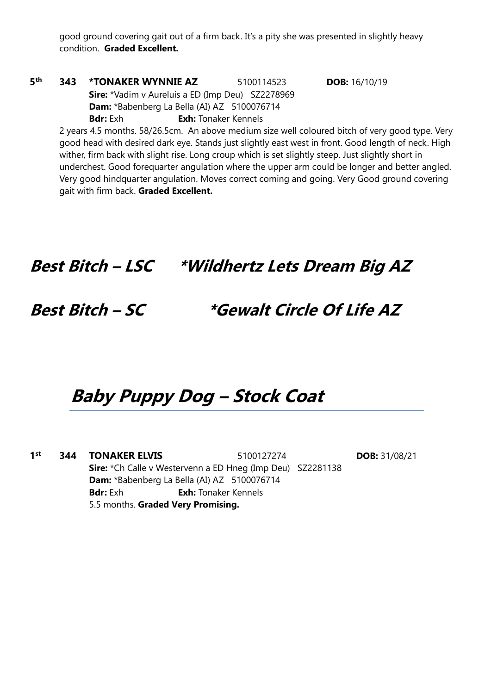good ground covering gait out of a firm back. It's a pity she was presented in slightly heavy condition. **Graded Excellent.**

### **5 th 343 \*TONAKER WYNNIE AZ** 5100114523 **DOB:** 16/10/19 **Sire:** \*Vadim v Aureluis a ED (Imp Deu) SZ2278969 **Dam:** \*Babenberg La Bella (AI) AZ 5100076714 **Bdr:** Exh **Exh:** Tonaker Kennels

2 years 4.5 months. 58/26.5cm. An above medium size well coloured bitch of very good type. Very good head with desired dark eye. Stands just slightly east west in front. Good length of neck. High wither, firm back with slight rise. Long croup which is set slightly steep. Just slightly short in underchest. Good forequarter angulation where the upper arm could be longer and better angled. Very good hindquarter angulation. Moves correct coming and going. Very Good ground covering gait with firm back. **Graded Excellent.**

**Best Bitch – LSC \*Wildhertz Lets Dream Big AZ**

### **Best Bitch – SC \*Gewalt Circle Of Life AZ**

### **Baby Puppy Dog – Stock Coat**

**1 st 344 TONAKER ELVIS** 5100127274 **DOB:** 31/08/21 **Sire:** \*Ch Calle v Westervenn a ED Hneg (Imp Deu) SZ2281138 **Dam:** \*Babenberg La Bella (AI) AZ 5100076714 **Bdr:** Exh **Exh:** Tonaker Kennels 5.5 months. **Graded Very Promising.**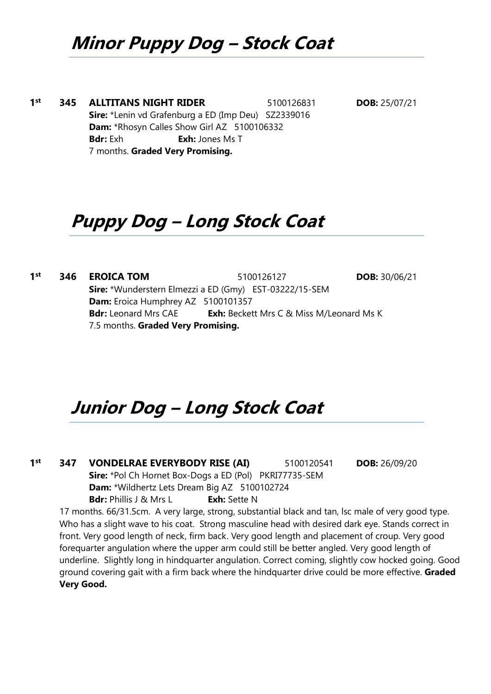## **Minor Puppy Dog – Stock Coat**

**1 st 345 ALLTITANS NIGHT RIDER** 5100126831 **DOB:** 25/07/21 **Sire:** \*Lenin vd Grafenburg a ED (Imp Deu) SZ2339016 **Dam:** \*Rhosyn Calles Show Girl AZ 5100106332 **Bdr:** Exh **Exh:** Jones Ms T 7 months. **Graded Very Promising.**

## **Puppy Dog – Long Stock Coat**

**1 st 346 EROICA TOM** 5100126127 **DOB:** 30/06/21 **Sire:** \*Wunderstern Elmezzi a ED (Gmy) EST-03222/15-SEM **Dam:** Eroica Humphrey AZ 5100101357 **Bdr:** Leonard Mrs CAE **Exh:** Beckett Mrs C & Miss M/Leonard Ms K 7.5 months. **Graded Very Promising.**

## **Junior Dog – Long Stock Coat**

**1 st 347 VONDELRAE EVERYBODY RISE (AI)** 5100120541 **DOB:** 26/09/20 **Sire:** \*Pol Ch Hornet Box-Dogs a ED (Pol) PKRI77735-SEM **Dam:** \*Wildhertz Lets Dream Big AZ 5100102724 **Bdr:** Phillis J & Mrs L **Exh:** Sette N 17 months. 66/31.5cm. A very large, strong, substantial black and tan, lsc male of very good type.

Who has a slight wave to his coat. Strong masculine head with desired dark eye. Stands correct in front. Very good length of neck, firm back. Very good length and placement of croup. Very good forequarter angulation where the upper arm could still be better angled. Very good length of underline. Slightly long in hindquarter angulation. Correct coming, slightly cow hocked going. Good ground covering gait with a firm back where the hindquarter drive could be more effective. **Graded Very Good.**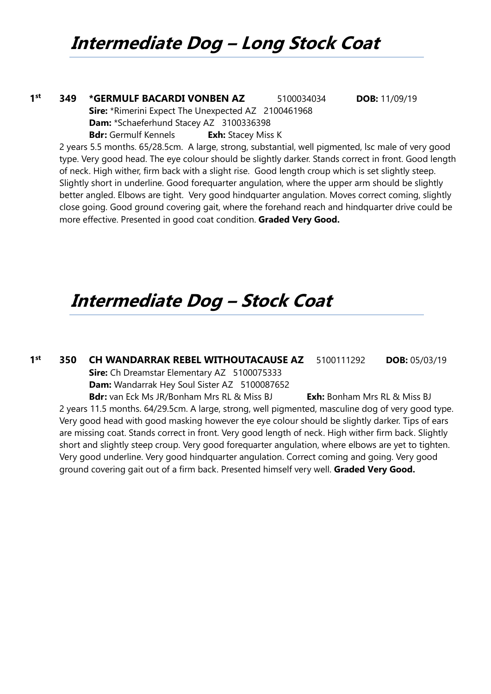**1 st 349 \*GERMULF BACARDI VONBEN AZ** 5100034034 **DOB:** 11/09/19 **Sire:** \*Rimerini Expect The Unexpected AZ 2100461968 **Dam:** \*Schaeferhund Stacey AZ 3100336398 **Bdr:** Germulf Kennels **Exh:** Stacey Miss K

2 years 5.5 months. 65/28.5cm. A large, strong, substantial, well pigmented, lsc male of very good type. Very good head. The eye colour should be slightly darker. Stands correct in front. Good length of neck. High wither, firm back with a slight rise. Good length croup which is set slightly steep. Slightly short in underline. Good forequarter angulation, where the upper arm should be slightly better angled. Elbows are tight. Very good hindquarter angulation. Moves correct coming, slightly close going. Good ground covering gait, where the forehand reach and hindquarter drive could be more effective. Presented in good coat condition. **Graded Very Good.**

### **Intermediate Dog – Stock Coat**

**1 st 350 CH WANDARRAK REBEL WITHOUTACAUSE AZ** 5100111292 **DOB:** 05/03/19 **Sire:** Ch Dreamstar Elementary AZ 5100075333

**Dam:** Wandarrak Hey Soul Sister AZ 5100087652

**Bdr:** van Eck Ms JR/Bonham Mrs RL & Miss BJ **Exh:** Bonham Mrs RL & Miss BJ 2 years 11.5 months. 64/29.5cm. A large, strong, well pigmented, masculine dog of very good type. Very good head with good masking however the eye colour should be slightly darker. Tips of ears are missing coat. Stands correct in front. Very good length of neck. High wither firm back. Slightly short and slightly steep croup. Very good forequarter angulation, where elbows are yet to tighten. Very good underline. Very good hindquarter angulation. Correct coming and going. Very good ground covering gait out of a firm back. Presented himself very well. **Graded Very Good.**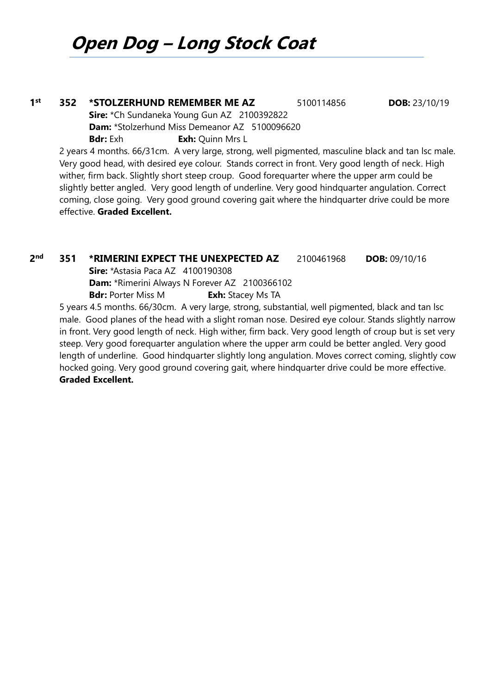## **Open Dog – Long Stock Coat**

### **1 st 352 \*STOLZERHUND REMEMBER ME AZ** 5100114856 **DOB:** 23/10/19 **Sire:** \*Ch Sundaneka Young Gun AZ 2100392822 **Dam:** \*Stolzerhund Miss Demeanor AZ 5100096620 **Bdr:** Exh **Exh:** Ouinn Mrs L 2 years 4 months. 66/31cm. A very large, strong, well pigmented, masculine black and tan lsc male.

Very good head, with desired eye colour. Stands correct in front. Very good length of neck. High wither, firm back. Slightly short steep croup. Good forequarter where the upper arm could be slightly better angled. Very good length of underline. Very good hindquarter angulation. Correct coming, close going. Very good ground covering gait where the hindquarter drive could be more effective. **Graded Excellent.**

#### **2 nd 351 \*RIMERINI EXPECT THE UNEXPECTED AZ** 2100461968 **DOB:** 09/10/16

**Sire:** \*Astasia Paca AZ 4100190308

**Dam:** \*Rimerini Always N Forever AZ 2100366102

**Bdr:** Porter Miss M **Exh:** Stacey Ms TA

5 years 4.5 months. 66/30cm. A very large, strong, substantial, well pigmented, black and tan lsc male. Good planes of the head with a slight roman nose. Desired eye colour. Stands slightly narrow in front. Very good length of neck. High wither, firm back. Very good length of croup but is set very steep. Very good forequarter angulation where the upper arm could be better angled. Very good length of underline. Good hindquarter slightly long angulation. Moves correct coming, slightly cow hocked going. Very good ground covering gait, where hindquarter drive could be more effective. **Graded Excellent.**